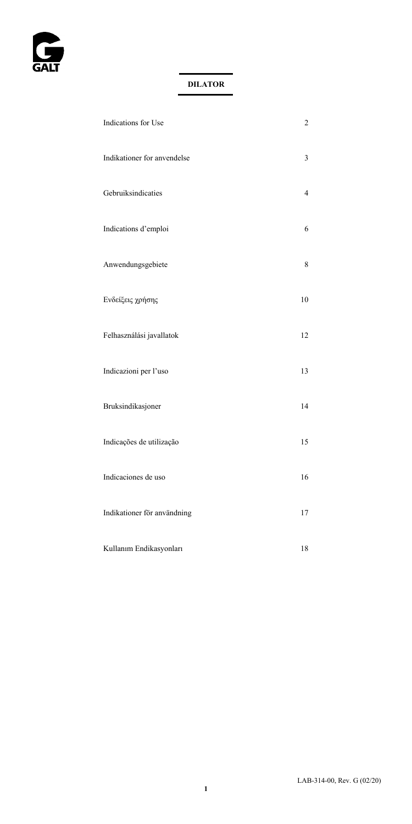

| Indications for Use         | $\overline{c}$ |
|-----------------------------|----------------|
| Indikationer for anvendelse | 3              |
| Gebruiksindicaties          | 4              |
| Indications d'emploi        | 6              |
| Anwendungsgebiete           | 8              |
| Ενδείξεις χρήσης            | 10             |
| Felhasználási javallatok    | 12             |
| Indicazioni per l'uso       | 13             |
| Bruksindikasjoner           | 14             |
| Indicações de utilização    | 15             |
| Indicaciones de uso         | 16             |
| Indikationer för användning | 17             |
| Kullanım Endikasyonları     | 18             |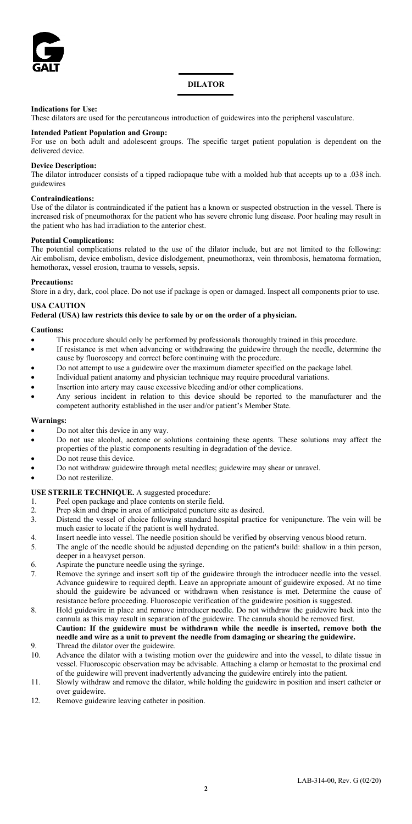

#### **DILATOR**

#### **Indications for Use:**

These dilators are used for the percutaneous introduction of guidewires into the peripheral vasculature.

#### **Intended Patient Population and Group:**

For use on both adult and adolescent groups. The specific target patient population is dependent on the delivered device.

#### **Device Description:**

The dilator introducer consists of a tipped radiopaque tube with a molded hub that accepts up to a .038 inch. guidewires

#### **Contraindications:**

Use of the dilator is contraindicated if the patient has a known or suspected obstruction in the vessel. There is increased risk of pneumothorax for the patient who has severe chronic lung disease. Poor healing may result in the patient who has had irradiation to the anterior chest.

#### **Potential Complications:**

The potential complications related to the use of the dilator include, but are not limited to the following: Air embolism, device embolism, device dislodgement, pneumothorax, vein thrombosis, hematoma formation, hemothorax, vessel erosion, trauma to vessels, sepsis.

#### **Precautions:**

Store in a dry, dark, cool place. Do not use if package is open or damaged. Inspect all components prior to use.

#### **USA CAUTION**

#### **Federal (USA) law restricts this device to sale by or on the order of a physician.**

#### **Cautions:**

- This procedure should only be performed by professionals thoroughly trained in this procedure.
- If resistance is met when advancing or withdrawing the guidewire through the needle, determine the cause by fluoroscopy and correct before continuing with the procedure.
- Do not attempt to use a guidewire over the maximum diameter specified on the package label.
- Individual patient anatomy and physician technique may require procedural variations.
- Insertion into artery may cause excessive bleeding and/or other complications.
- Any serious incident in relation to this device should be reported to the manufacturer and the competent authority established in the user and/or patient's Member State.

## **Warnings:**

- Do not alter this device in any way.
- Do not use alcohol, acetone or solutions containing these agents. These solutions may affect the properties of the plastic components resulting in degradation of the device.
- Do not reuse this device.
- Do not withdraw guidewire through metal needles; guidewire may shear or unravel.
- Do not resterilize.

#### **USE STERILE TECHNIQUE.** A suggested procedure:

- 1. Peel open package and place contents on sterile field.<br>Preparation and drape in area of anticipated puncture sit
- 2. Prep skin and drape in area of anticipated puncture site as desired.<br>3. Distend the vessel of choice following standard hospital practice
- Distend the vessel of choice following standard hospital practice for venipuncture. The vein will be much easier to locate if the patient is well hydrated.
- 4. Insert needle into vessel. The needle position should be verified by observing venous blood return.
- 5. The angle of the needle should be adjusted depending on the patient's build: shallow in a thin person, deeper in a heavyset person.
- 6. Aspirate the puncture needle using the syringe.<br>
Remove the syringe and insert soft tip of the q
- Remove the syringe and insert soft tip of the guidewire through the introducer needle into the vessel. Advance guidewire to required depth. Leave an appropriate amount of guidewire exposed. At no time should the guidewire be advanced or withdrawn when resistance is met. Determine the cause of resistance before proceeding. Fluoroscopic verification of the guidewire position is suggested.
- 8. Hold guidewire in place and remove introducer needle. Do not withdraw the guidewire back into the cannula as this may result in separation of the guidewire. The cannula should be removed first. **Caution: If the guidewire must be withdrawn while the needle is inserted, remove both the**
- **needle and wire as a unit to prevent the needle from damaging or shearing the guidewire.** 9. Thread the dilator over the guidewire.
- 10. Advance the dilator with a twisting motion over the guidewire and into the vessel, to dilate tissue in vessel. Fluoroscopic observation may be advisable. Attaching a clamp or hemostat to the proximal end of the guidewire will prevent inadvertently advancing the guidewire entirely into the patient.
- 11. Slowly withdraw and remove the dilator, while holding the guidewire in position and insert catheter or over guidewire.
- 12. Remove guidewire leaving catheter in position.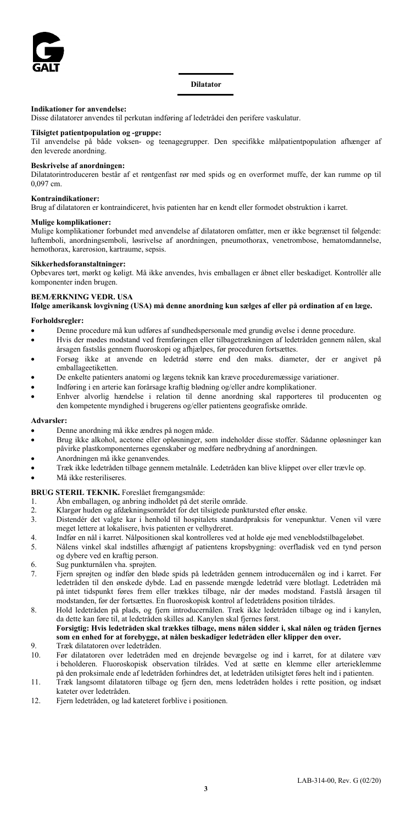

#### **Indikationer for anvendelse:**

Disse dilatatorer anvendes til perkutan indføring af ledetrådei den perifere vaskulatur.

**Tilsigtet patientpopulation og -gruppe:** Til anvendelse på både voksen- og teenagegrupper. Den specifikke målpatientpopulation afhænger af den leverede anordning.

## **Beskrivelse af anordningen:**

Dilatatorintroduceren består af et røntgenfast rør med spids og en overformet muffe, der kan rumme op til 0,097 cm.

## **Kontraindikationer:**

Brug af dilatatoren er kontraindiceret, hvis patienten har en kendt eller formodet obstruktion i karret.

#### **Mulige komplikationer:**

Mulige komplikationer forbundet med anvendelse af dilatatoren omfatter, men er ikke begrænset til følgende: luftemboli, anordningsemboli, løsrivelse af anordningen, pneumothorax, venetrombose, hematomdannelse, hemothorax, karerosion, kartraume, sepsis.

#### **Sikkerhedsforanstaltninger:**

Opbevares tørt, mørkt og køligt. Må ikke anvendes, hvis emballagen er åbnet eller beskadiget. Kontrollér alle komponenter inden brugen.

## **BEMÆRKNING VEDR. USA**

**Ifølge amerikansk lovgivning (USA) må denne anordning kun sælges af eller på ordination af en læge.**

#### **Forholdsregler:**

- Denne procedure må kun udføres af sundhedspersonale med grundig øvelse i denne procedure.
- Hvis der mødes modstand ved fremføringen eller tilbagetrækningen af ledetråden gennem nålen, skal årsagen fastslås gennem fluoroskopi og afhjælpes, før proceduren fortsættes.
- Forsøg ikke at anvende en ledetråd større end den maks. diameter, der er angivet på emballageetiketten.
- De enkelte patienters anatomi og lægens teknik kan kræve proceduremæssige variationer.
- Indføring i en arterie kan forårsage kraftig blødning og/eller andre komplikationer.
- Enhver alvorlig hændelse i relation til denne anordning skal rapporteres til producenten og den kompetente myndighed i brugerens og/eller patientens geografiske område.

#### **Advarsler:**

- Denne anordning må ikke ændres på nogen måde.
- Brug ikke alkohol, acetone eller opløsninger, som indeholder disse stoffer. Sådanne opløsninger kan påvirke plastkomponenternes egenskaber og medføre nedbrydning af anordningen.
- Anordningen må ikke genanvendes.
- Træk ikke ledetråden tilbage gennem metalnåle. Ledetråden kan blive klippet over eller trævle op.
- Må ikke resteriliseres.

#### **BRUG STERIL TEKNIK.** Foreslået fremgangsmåde:

- 1. Åbn emballagen, og anbring indholdet på det sterile område.
- 2. Klargør huden og afdækningsområdet for det tilsigtede punktursted efter ønske.<br>2. Distendér det valgte kar i henhold til hospitalets standardpraksis for venepu
- Distendér det valgte kar i henhold til hospitalets standardpraksis for venepunktur. Venen vil være meget lettere at lokalisere, hvis patienten er velhydreret.
- 4. Indfør en nål i karret. Nålpositionen skal kontrolleres ved at holde øje med veneblodstilbageløbet.
- 5. Nålens vinkel skal indstilles afhængigt af patientens kropsbygning: overfladisk ved en tynd person og dybere ved en kraftig person.
- 6. Sug punkturnålen vha. sprøjten.
- 7. Fjern sprøjten og indfør den bløde spids på ledetråden gennem introducernålen og ind i karret. Før ledetråden til den ønskede dybde. Lad en passende mængde ledetråd være blotlagt. Ledetråden må på intet tidspunkt føres frem eller trækkes tilbage, når der mødes modstand. Fastslå årsagen til modstanden, før der fortsættes. En fluoroskopisk kontrol af ledetrådens position tilrådes.
- 8. Hold ledetråden på plads, og fjern introducernålen. Træk ikke ledetråden tilbage og ind i kanylen, da dette kan føre til, at ledetråden skilles ad. Kanylen skal fjernes først.

#### **Forsigtig: Hvis ledetråden skal trækkes tilbage, mens nålen sidder i, skal nålen og tråden fjernes som en enhed for at forebygge, at nålen beskadiger ledetråden eller klipper den over.** 9. Træk dilatatoren over ledetråden.

- 
- 10. Før dilatatoren over ledetråden med en drejende bevægelse og ind i karret, for at dilatere væv i beholderen. Fluoroskopisk observation tilrådes. Ved at sætte en klemme eller arterieklemme på den proksimale ende af ledetråden forhindres det, at ledetråden utilsigtet føres helt ind i patienten.
- 11. Træk langsomt dilatatoren tilbage og fjern den, mens ledetråden holdes i rette position, og indsæt kateter over ledetråden.
- 12. Fjern ledetråden, og lad kateteret forblive i positionen.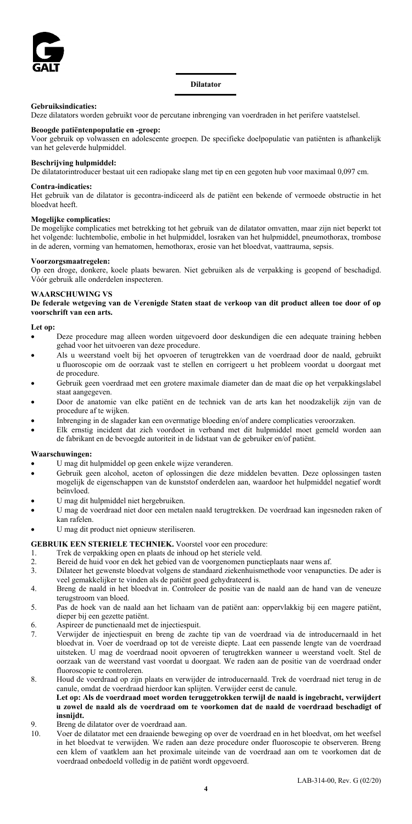

## **Gebruiksindicaties:**

Deze dilatators worden gebruikt voor de percutane inbrenging van voerdraden in het perifere vaatstelsel.

## **Beoogde patiëntenpopulatie en -groep:**

Voor gebruik op volwassen en adolescente groepen. De specifieke doelpopulatie van patiënten is afhankelijk van het geleverde hulpmiddel.

## **Beschrijving hulpmiddel:**

De dilatatorintroducer bestaat uit een radiopake slang met tip en een gegoten hub voor maximaal 0,097 cm.

#### **Contra-indicaties:**

Het gebruik van de dilatator is gecontra-indiceerd als de patiënt een bekende of vermoede obstructie in het bloedvat heeft.

#### **Mogelijke complicaties:**

De mogelijke complicaties met betrekking tot het gebruik van de dilatator omvatten, maar zijn niet beperkt tot het volgende: luchtembolie, embolie in het hulpmiddel, losraken van het hulpmiddel, pneumothorax, trombose in de aderen, vorming van hematomen, hemothorax, erosie van het bloedvat, vaattrauma, sepsis.

#### **Voorzorgsmaatregelen:**

Op een droge, donkere, koele plaats bewaren. Niet gebruiken als de verpakking is geopend of beschadigd. Vóór gebruik alle onderdelen inspecteren.

## **WAARSCHUWING VS**

**De federale wetgeving van de Verenigde Staten staat de verkoop van dit product alleen toe door of op voorschrift van een arts.**

#### **Let op:**

- Deze procedure mag alleen worden uitgevoerd door deskundigen die een adequate training hebben gehad voor het uitvoeren van deze procedure.
- Als u weerstand voelt bij het opvoeren of terugtrekken van de voerdraad door de naald, gebruikt u fluoroscopie om de oorzaak vast te stellen en corrigeert u het probleem voordat u doorgaat met de procedure.
- Gebruik geen voerdraad met een grotere maximale diameter dan de maat die op het verpakkingslabel staat aangegeven.
- Door de anatomie van elke patiënt en de techniek van de arts kan het noodzakelijk zijn van de procedure af te wijken.
- Inbrenging in de slagader kan een overmatige bloeding en/of andere complicaties veroorzaken.
- Elk ernstig incident dat zich voordoet in verband met dit hulpmiddel moet gemeld worden aan de fabrikant en de bevoegde autoriteit in de lidstaat van de gebruiker en/of patiënt.

#### **Waarschuwingen:**

- U mag dit hulpmiddel op geen enkele wijze veranderen.
- Gebruik geen alcohol, aceton of oplossingen die deze middelen bevatten. Deze oplossingen tasten mogelijk de eigenschappen van de kunststof onderdelen aan, waardoor het hulpmiddel negatief wordt beïnvloed.
- U mag dit hulpmiddel niet hergebruiken.
- U mag de voerdraad niet door een metalen naald terugtrekken. De voerdraad kan ingesneden raken of kan rafelen.
- U mag dit product niet opnieuw steriliseren.

#### **GEBRUIK EEN STERIELE TECHNIEK.** Voorstel voor een procedure:

- 1. Trek de verpakking open en plaats de inhoud op het steriele veld.<br>2. Bereid de buid voor en dek het gebied van de voorgenomen punct
- 2. Bereid de huid voor en dek het gebied van de voorgenomen punctieplaats naar wens af.<br>Dilateer het gewenste bloedvat volgens de standaard ziekenbuismethode voor venanung
- 3. Dilateer het gewenste bloedvat volgens de standaard ziekenhuismethode voor venapuncties. De ader is veel gemakkelijker te vinden als de patiënt goed gehydrateerd is.
- 4. Breng de naald in het bloedvat in. Controleer de positie van de naald aan de hand van de veneuze terugstroom van bloed.
- 5. Pas de hoek van de naald aan het lichaam van de patiënt aan: oppervlakkig bij een magere patiënt, dieper bij een gezette patiënt.
- 6. Aspireer de punctienaald met de injectiespuit.
- 7. Verwijder de injectiespuit en breng de zachte tip van de voerdraad via de introducernaald in het bloedvat in. Voer de voerdraad op tot de vereiste diepte. Laat een passende lengte van de voerdraad uitsteken. U mag de voerdraad nooit opvoeren of terugtrekken wanneer u weerstand voelt. Stel de oorzaak van de weerstand vast voordat u doorgaat. We raden aan de positie van de voerdraad onder fluoroscopie te controleren.
- 8. Houd de voerdraad op zijn plaats en verwijder de introducernaald. Trek de voerdraad niet terug in de canule, omdat de voerdraad hierdoor kan splijten. Verwijder eerst de canule.

#### **Let op: Als de voerdraad moet worden teruggetrokken terwijl de naald is ingebracht, verwijdert u zowel de naald als de voerdraad om te voorkomen dat de naald de voerdraad beschadigt of insnijdt.**

- 9. Breng de dilatator over de voerdraad aan.<br>10. Voer de dilatator met een draaiende bewe
- 10. Voer de dilatator met een draaiende beweging op over de voerdraad en in het bloedvat, om het weefsel in het bloedvat te verwijden. We raden aan deze procedure onder fluoroscopie te observeren. Breng een klem of vaatklem aan het proximale uiteinde van de voerdraad aan om te voorkomen dat de voerdraad onbedoeld volledig in de patiënt wordt opgevoerd.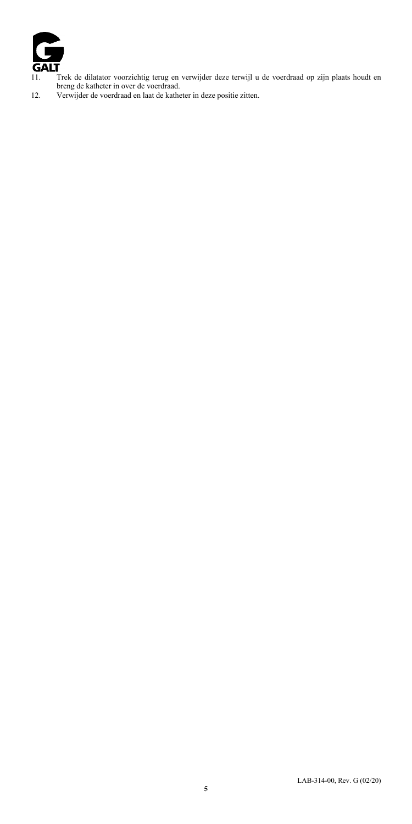

- 11. Trek de dilatator voorzichtig terug en verwijder deze terwijl u de voerdraad op zijn plaats houdt en breng de katheter in over de voerdraad. 12. Verwijder de voerdraad en laat de katheter in deze positie zitten.
-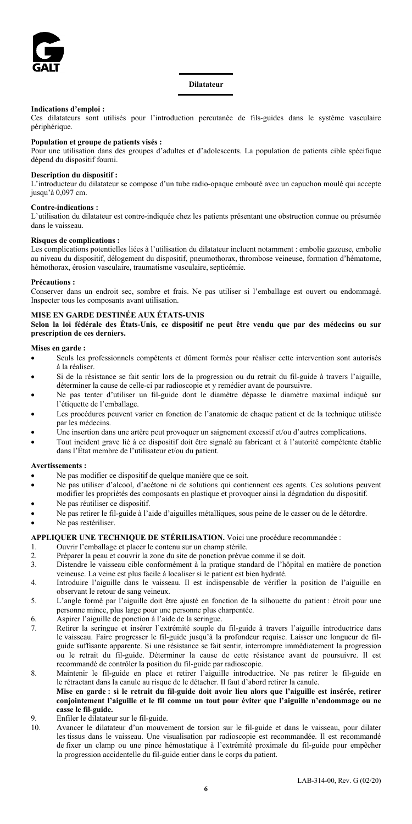

#### **Dilatateur**

#### **Indications d'emploi :**

Ces dilatateurs sont utilisés pour l'introduction percutanée de fils-guides dans le système vasculaire périphérique.

#### **Population et groupe de patients visés :**

Pour une utilisation dans des groupes d'adultes et d'adolescents. La population de patients cible spécifique dépend du dispositif fourni.

#### **Description du dispositif :**

L'introducteur du dilatateur se compose d'un tube radio-opaque embouté avec un capuchon moulé qui accepte jusqu'à 0,097 cm.

#### **Contre-indications :**

L'utilisation du dilatateur est contre-indiquée chez les patients présentant une obstruction connue ou présumée dans le vaisseau.

#### **Risques de complications :**

Les complications potentielles liées à l'utilisation du dilatateur incluent notamment : embolie gazeuse, embolie au niveau du dispositif, délogement du dispositif, pneumothorax, thrombose veineuse, formation d'hématome, hémothorax, érosion vasculaire, traumatisme vasculaire, septicémie.

#### **Précautions :**

Conserver dans un endroit sec, sombre et frais. Ne pas utiliser si l'emballage est ouvert ou endommagé. Inspecter tous les composants avant utilisation.

#### **MISE EN GARDE DESTINÉE AUX ÉTATS-UNIS**

**Selon la loi fédérale des États-Unis, ce dispositif ne peut être vendu que par des médecins ou sur prescription de ces derniers.**

#### **Mises en garde :**

- Seuls les professionnels compétents et dûment formés pour réaliser cette intervention sont autorisés à la réaliser.
- Si de la résistance se fait sentir lors de la progression ou du retrait du fil-guide à travers l'aiguille, déterminer la cause de celle-ci par radioscopie et y remédier avant de poursuivre.
- Ne pas tenter d'utiliser un fil-guide dont le diamètre dépasse le diamètre maximal indiqué sur l'étiquette de l'emballage.
- Les procédures peuvent varier en fonction de l'anatomie de chaque patient et de la technique utilisée par les médecins.
- Une insertion dans une artère peut provoquer un saignement excessif et/ou d'autres complications.
- Tout incident grave lié à ce dispositif doit être signalé au fabricant et à l'autorité compétente établie dans l'État membre de l'utilisateur et/ou du patient.

#### **Avertissements :**

- Ne pas modifier ce dispositif de quelque manière que ce soit.
- Ne pas utiliser d'alcool, d'acétone ni de solutions qui contiennent ces agents. Ces solutions peuvent modifier les propriétés des composants en plastique et provoquer ainsi la dégradation du dispositif.
- Ne pas réutiliser ce dispositif.
- Ne pas retirer le fil-guide à l'aide d'aiguilles métalliques, sous peine de le casser ou de le détordre.
- Ne pas restériliser.

# **APPLIQUER UNE TECHNIQUE DE STÉRILISATION.** Voici une procédure recommandée :<br>1. Ouvrir l'emballage et placer le contenu sur un champ stérile.

- 1. Ouvrir l'emballage et placer le contenu sur un champ stérile.<br>2. Préparer la neau et couvrir la zone du site de ponction prévue
- Préparer la peau et couvrir la zone du site de ponction prévue comme il se doit.
- 3. Distendre le vaisseau cible conformément à la pratique standard de l'hôpital en matière de ponction veineuse. La veine est plus facile à localiser si le patient est bien hydraté.
- 4. Introduire l'aiguille dans le vaisseau. Il est indispensable de vérifier la position de l'aiguille en observant le retour de sang veineux.
- 5. L'angle formé par l'aiguille doit être ajusté en fonction de la silhouette du patient : étroit pour une personne mince, plus large pour une personne plus charpentée.
- 6. Aspirer l'aiguille de ponction à l'aide de la seringue.
- 7. Retirer la seringue et insérer l'extrémité souple du fil-guide à travers l'aiguille introductrice dans le vaisseau. Faire progresser le fil-guide jusqu'à la profondeur requise. Laisser une longueur de filguide suffisante apparente. Si une résistance se fait sentir, interrompre immédiatement la progression ou le retrait du fil-guide. Déterminer la cause de cette résistance avant de poursuivre. Il est recommandé de contrôler la position du fil-guide par radioscopie.
- 8. Maintenir le fil-guide en place et retirer l'aiguille introductrice. Ne pas retirer le fil-guide en le rétractant dans la canule au risque de le détacher. Il faut d'abord retirer la canule. **Mise en garde : si le retrait du fil-guide doit avoir lieu alors que l'aiguille est insérée, retirer** 
	- **conjointement l'aiguille et le fil comme un tout pour éviter que l'aiguille n'endommage ou ne casse le fil-guide.**
- 9. Enfiler le dilatateur sur le fil-guide.
- 10. Avancer le dilatateur d'un mouvement de torsion sur le fil-guide et dans le vaisseau, pour dilater les tissus dans le vaisseau. Une visualisation par radioscopie est recommandée. Il est recommandé de fixer un clamp ou une pince hémostatique à l'extrémité proximale du fil-guide pour empêcher la progression accidentelle du fil-guide entier dans le corps du patient.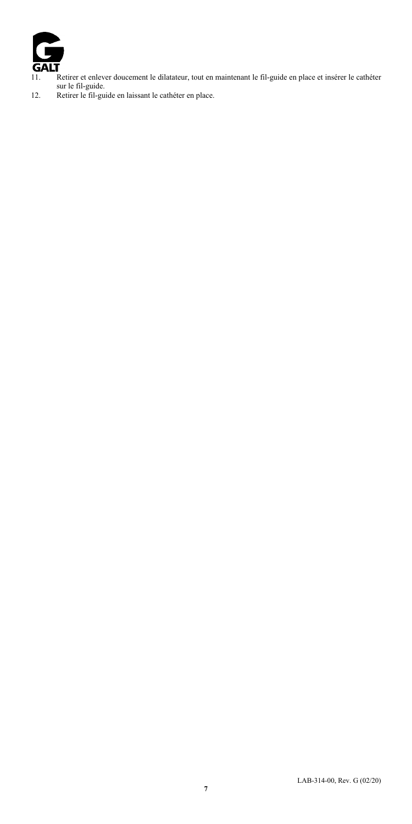

- 11. Retirer et enlever doucement le dilatateur, tout en maintenant le fil-guide en place et insérer le cathéter<br>sur le fil-guide.<br>12. Retirer le fil-guide en laissant le cathéter en place.
-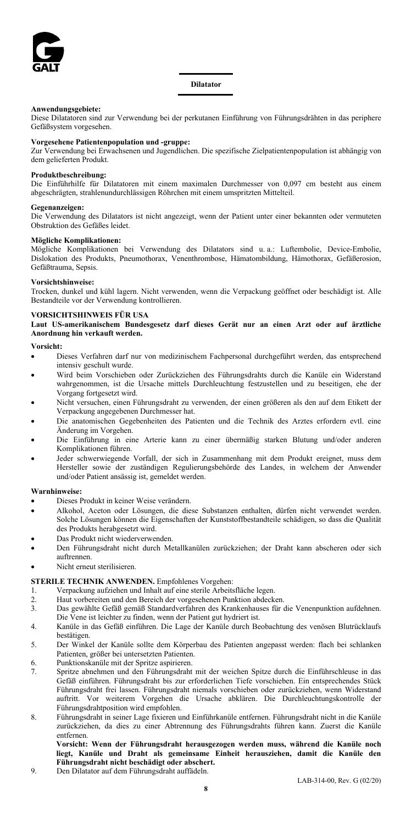

#### **Anwendungsgebiete:**

Diese Dilatatoren sind zur Verwendung bei der perkutanen Einführung von Führungsdrähten in das periphere Gefäßsystem vorgesehen.

#### **Vorgesehene Patientenpopulation und -gruppe:**

Zur Verwendung bei Erwachsenen und Jugendlichen. Die spezifische Zielpatientenpopulation ist abhängig von dem gelieferten Produkt.

## **Produktbeschreibung:**

Die Einführhilfe für Dilatatoren mit einem maximalen Durchmesser von 0,097 cm besteht aus einem abgeschrägten, strahlenundurchlässigen Röhrchen mit einem umspritzten Mittelteil.

#### **Gegenanzeigen:**

Die Verwendung des Dilatators ist nicht angezeigt, wenn der Patient unter einer bekannten oder vermuteten Obstruktion des Gefäßes leidet.

#### **Mögliche Komplikationen:**

Mögliche Komplikationen bei Verwendung des Dilatators sind u. a.: Luftembolie, Device-Embolie, Dislokation des Produkts, Pneumothorax, Venenthrombose, Hämatombildung, Hämothorax, Gefäßerosion, Gefäßtrauma, Sepsis.

#### **Vorsichtshinweise:**

Trocken, dunkel und kühl lagern. Nicht verwenden, wenn die Verpackung geöffnet oder beschädigt ist. Alle Bestandteile vor der Verwendung kontrollieren.

#### **VORSICHTSHINWEIS FÜR USA**

**Laut US-amerikanischem Bundesgesetz darf dieses Gerät nur an einen Arzt oder auf ärztliche Anordnung hin verkauft werden.**

#### **Vorsicht:**

- Dieses Verfahren darf nur von medizinischem Fachpersonal durchgeführt werden, das entsprechend intensiv geschult wurde.
- Wird beim Vorschieben oder Zurückziehen des Führungsdrahts durch die Kanüle ein Widerstand wahrgenommen, ist die Ursache mittels Durchleuchtung festzustellen und zu beseitigen, ehe der Vorgang fortgesetzt wird.
- Nicht versuchen, einen Führungsdraht zu verwenden, der einen größeren als den auf dem Etikett der Verpackung angegebenen Durchmesser hat.
- Die anatomischen Gegebenheiten des Patienten und die Technik des Arztes erfordern evtl. eine Änderung im Vorgehen.
- Die Einführung in eine Arterie kann zu einer übermäßig starken Blutung und/oder anderen Komplikationen führen.
- Jeder schwerwiegende Vorfall, der sich in Zusammenhang mit dem Produkt ereignet, muss dem Hersteller sowie der zuständigen Regulierungsbehörde des Landes, in welchem der Anwender und/oder Patient ansässig ist, gemeldet werden.

#### **Warnhinweise:**

- Dieses Produkt in keiner Weise verändern.
- Alkohol, Aceton oder Lösungen, die diese Substanzen enthalten, dürfen nicht verwendet werden. Solche Lösungen können die Eigenschaften der Kunststoffbestandteile schädigen, so dass die Qualität des Produkts herabgesetzt wird.
- Das Produkt nicht wiederverwenden.
- Den Führungsdraht nicht durch Metallkanülen zurückziehen; der Draht kann abscheren oder sich auftrennen.
- Nicht erneut sterilisieren.

## **STERILE TECHNIK ANWENDEN.** Empfohlenes Vorgehen:

- 1. Verpackung aufziehen und Inhalt auf eine sterile Arbeitsfläche legen.<br>2. Haut vorhereiten und den Bereich der vorgesehenen Punktion abdeck
- Haut vorbereiten und den Bereich der vorgesehenen Punktion abdecken.
- 3. Das gewählte Gefäß gemäß Standardverfahren des Krankenhauses für die Venenpunktion aufdehnen. Die Vene ist leichter zu finden, wenn der Patient gut hydriert ist.
- 4. Kanüle in das Gefäß einführen. Die Lage der Kanüle durch Beobachtung des venösen Blutrücklaufs bestätigen.
- 5. Der Winkel der Kanüle sollte dem Körperbau des Patienten angepasst werden: flach bei schlanken Patienten, größer bei untersetzten Patienten.
- 6. Punktionskanüle mit der Spritze aspirieren.
- 7. Spritze abnehmen und den Führungsdraht mit der weichen Spitze durch die Einführschleuse in das Gefäß einführen. Führungsdraht bis zur erforderlichen Tiefe vorschieben. Ein entsprechendes Stück Führungsdraht frei lassen. Führungsdraht niemals vorschieben oder zurückziehen, wenn Widerstand auftritt. Vor weiterem Vorgehen die Ursache abklären. Die Durchleuchtungskontrolle der Führungsdrahtposition wird empfohlen.
- 8. Führungsdraht in seiner Lage fixieren und Einführkanüle entfernen. Führungsdraht nicht in die Kanüle zurückziehen, da dies zu einer Abtrennung des Führungsdrahts führen kann. Zuerst die Kanüle entfernen.

**Vorsicht: Wenn der Führungsdraht herausgezogen werden muss, während die Kanüle noch liegt, Kanüle und Draht als gemeinsame Einheit herausziehen, damit die Kanüle den Führungsdraht nicht beschädigt oder abschert.**

9. Den Dilatator auf dem Führungsdraht auffädeln.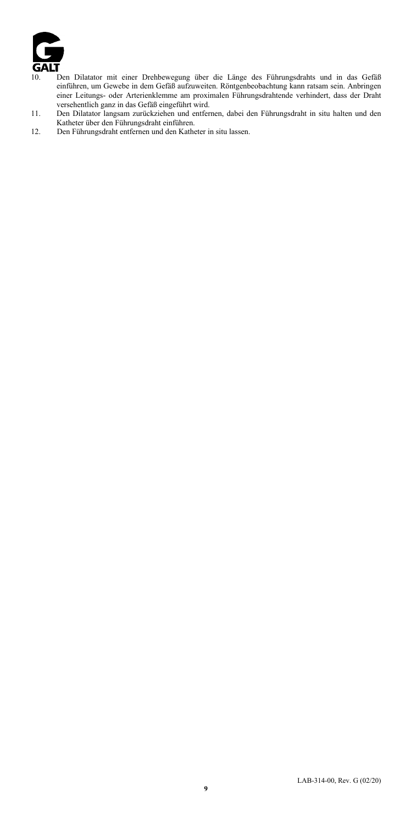

- 10. Den Dilatator mit einer Drehbewegung über die Länge des Führungsdrahts und in das Gefäß einführen, um Gewebe in dem Gefäß aufzuweiten. Röntgenbeobachtung kann ratsam sein. Anbringen
- einer Leitungs- oder Arterienklemme am proximalen Führungsdrahtende verhindert, dass der Draht verschentlich ganz in das Gefäß eingeführt wird.<br>11. Den Dilatator langsam zurückziehen und entfernen, dabei den Führungsdraht
-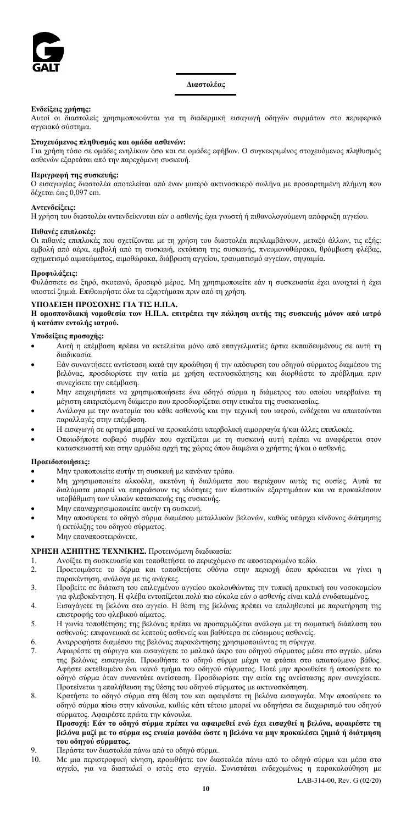

**Διαστολέας**

#### **Ενδείξεις χρήσης:**

Αυτοί οι διαστολείς χρησιμοποιούνται για τη διαδερμική εισαγωγή οδηγών συρμάτων στο περιφερικό αγγειακό σύστημα.

#### **Στοχευόμενος πληθυσμός και ομάδα ασθενών:**

Για χρήση τόσο σε ομάδες ενηλίκων όσο και σε ομάδες εφήβων. Ο συγκεκριμένος στοχευόμενος πληθυσμός ασθενών εξαρτάται από την παρεχόμενη συσκευή.

#### **Περιγραφή της συσκευής:**

Ο εισαγωγέας διαστολέα αποτελείται από έναν μυτερό ακτινοσκιερό σωλήνα με προσαρτημένη πλήμνη που δέχεται έως 0,097 cm.

#### **Αντενδείξεις:**

Η χρήση του διαστολέα αντενδείκνυται εάν ο ασθενής έχει γνωστή ή πιθανολογούμενη απόφραξη αγγείου.

#### **Πιθανές επιπλοκές:**

Οι πιθανές επιπλοκές που σχετίζονται με τη χρήση του διαστολέα περιλαμβάνουν, μεταξύ άλλων, τις εξής: εμβολή από αέρα, εμβολή από τη συσκευή, εκτόπιση της συσκευής, πνευμονοθώρακα, θρόμβωση φλέβας, σχηματισμό αιματώματος, αιμοθώρακα, διάβρωση αγγείου, τραυματισμό αγγείων, σηψαιμία.

## **Προφυλάξεις:**

Φυλάσσετε σε ξηρό, σκοτεινό, δροσερό μέρος. Μη χρησιμοποιείτε εάν η συσκευασία έχει ανοιχτεί ή έχει υποστεί ζημιά. Επιθεωρήστε όλα τα εξαρτήματα πριν από τη χρήση.

#### **ΥΠΟΔΕΙΞΗ ΠΡΟΣΟΧΗΣ ΓΙΑ ΤΙΣ Η.Π.Α.**

**Η ομοσπονδιακή νομοθεσία των Η.Π.Α. επιτρέπει την πώληση αυτής της συσκευής μόνον από ιατρό ή κατόπιν εντολής ιατρού.**

#### **Υποδείξεις προσοχής:**

- Αυτή η επέμβαση πρέπει να εκτελείται μόνο από επαγγελματίες άρτια εκπαιδευμένους σε αυτή τη διαδικασία.
- Εάν συναντήσετε αντίσταση κατά την προώθηση ή την απόσυρση του οδηγού σύρματος διαμέσου της βελόνας, προσδιορίστε την αιτία με χρήση ακτινοσκόπησης και διορθώστε το πρόβλημα πριν συνεχίσετε την επέμβαση.
- Μην επιχειρήσετε να χρησιμοποιήσετε ένα οδηγό σύρμα η διάμετρος του οποίου υπερβαίνει τη μέγιστη επιτρεπόμενη διάμετρο που προσδιορίζεται στην ετικέτα της συσκευασίας.
- Ανάλογα με την ανατομία του κάθε ασθενούς και την τεχνική του ιατρού, ενδέχεται να απαιτούνται παραλλαγές στην επέμβαση.
- Η εισαγωγή σε αρτηρία μπορεί να προκαλέσει υπερβολική αιμορραγία ή/και άλλες επιπλοκές.
- Οποιοδήποτε σοβαρό συμβάν που σχετίζεται με τη συσκευή αυτή πρέπει να αναφέρεται στον κατασκευαστή και στην αρμόδια αρχή της χώρας όπου διαμένει ο χρήστης ή/και ο ασθενής.

#### **Προειδοποιήσεις:**

- Μην τροποποιείτε αυτήν τη συσκευή με κανέναν τρόπο.
- Μη χρησιμοποιείτε αλκοόλη, ακετόνη ή διαλύματα που περιέχουν αυτές τις ουσίες. Αυτά τα διαλύματα μπορεί να επηρεάσουν τις ιδιότητες των πλαστικών εξαρτημάτων και να προκαλέσουν υποβάθμιση των υλικών κατασκευής της συσκευής.
- Μην επαναχρησιμοποιείτε αυτήν τη συσκευή.
- Μην αποσύρετε το οδηγό σύρμα διαμέσου μεταλλικών βελονών, καθώς υπάρχει κίνδυνος διάτμησης ή εκτύλιξης του οδηγού σύρματος.
- Μην επαναποστειρώνετε.

## **ΧΡΗΣΗ ΑΣΗΠΤΗΣ ΤΕΧΝΙΚΗΣ.** Προτεινόμενη διαδικασία:

- 1. Ανοίξτε τη συσκευασία και τοποθετήστε το περιεχόμενο σε αποστειρωμένο πεδίο.
- 2. Προετοιμάστε το δέρμα και τοποθετήστε οθόνιο στην περιοχή όπου πρόκειται να γίνει η παρακέντηση, ανάλογα με τις ανάγκες.
- 3. Προβείτε σε διάταση του επιλεγμένου αγγείου ακολουθώντας την τυπική πρακτική του νοσοκομείου για φλεβοκέντηση. Η φλέβα εντοπίζεται πολύ πιο εύκολα εάν ο ασθενής είναι καλά ενυδατωμένος.
- 4. Εισαγάγετε τη βελόνα στο αγγείο. Η θέση της βελόνας πρέπει να επαληθευτεί με παρατήρηση της επιστροφής του φλεβικού αίματος.
- 5. Η γωνία τοποθέτησης της βελόνας πρέπει να προσαρμόζεται ανάλογα με τη σωματική διάπλαση του ασθενούς: επιφανειακά σε λεπτούς ασθενείς και βαθύτερα σε εύσωμους ασθενείς.
- 6. Αναρροφήστε διαμέσου της βελόνας παρακέντησης χρησιμοποιώντας τη σύριγγα.
- 7. Αφαιρέστε τη σύριγγα και εισαγάγετε το μαλακό άκρο του οδηγού σύρματος μέσα στο αγγείο, μέσω της βελόνας εισαγωγέα. Προωθήστε το οδηγό σύρμα μέχρι να φτάσει στο απαιτούμενο βάθος. Αφήστε εκτεθειμένο ένα ικανό τμήμα του οδηγού σύρματος. Ποτέ μην προωθείτε ή αποσύρετε το οδηγό σύρμα όταν συναντάτε αντίσταση. Προσδιορίστε την αιτία της αντίστασης πριν συνεχίσετε. Προτείνεται η επαλήθευση της θέσης του οδηγού σύρματος με ακτινοσκόπηση.
- 8. Κρατήστε το οδηγό σύρμα στη θέση του και αφαιρέστε τη βελόνα εισαγωγέα. Μην αποσύρετε το οδηγό σύρμα πίσω στην κάνουλα, καθώς κάτι τέτοιο μπορεί να οδηγήσει σε διαχωρισμό του οδηγού σύρματος. Αφαιρέστε πρώτα την κάνουλα.

#### **Προσοχή: Εάν το οδηγό σύρμα πρέπει να αφαιρεθεί ενώ έχει εισαχθεί η βελόνα, αφαιρέστε τη βελόνα μαζί με το σύρμα ως ενιαία μονάδα ώστε η βελόνα να μην προκαλέσει ζημιά ή διάτμηση του οδηγού σύρματος.**

- 9. Περάστε τον διαστολέα πάνω από το οδηγό σύρμα.
- 10. Με μια περιστροφική κίνηση, προωθήστε τον διαστολέα πάνω από το οδηγό σύρμα και μέσα στο αγγείο, για να διασταλεί ο ιστός στο αγγείο. Συνιστάται ενδεχομένως η παρακολούθηση με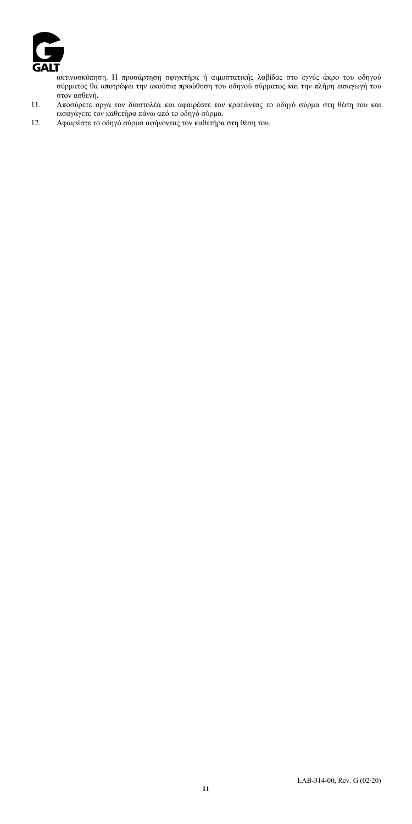

ακτινοσκόπηση. Η προσάρτηση σφιγκτήρα ή αιμοστατικής λαβίδας στο εγγύς άκρο του οδηγού σύρματος θα αποτρέψει την ακούσια προώθηση του οδηγού σύρματος και την πλήρη εισαγωγή του στον ασθενή.

- 11. Αποσύρετε αργά τον διαστολέα και αφαιρέστε τον κρατώντας το οδηγό σύρμα στη θέση του και εισαγάγετε τον καθετήρα πάνω από το οδηγό σύρμα.
- 12. Αφαιρέστε το οδηγό σύρμα αφήνοντας τον καθετήρα στη θέση του.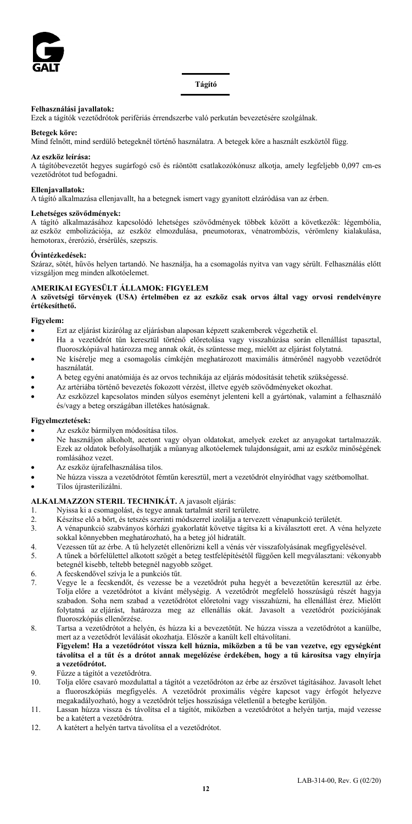

## **Tágító**

#### **Felhasználási javallatok:**

Ezek a tágítók vezetődrótok perifériás érrendszerbe való perkután bevezetésére szolgálnak.

#### **Betegek köre:**

Mind felnőtt, mind serdülő betegeknél történő használatra. A betegek köre a használt eszköztől függ.

#### **Az eszköz leírása:**

A tágítóbevezetőt hegyes sugárfogó cső és ráöntött csatlakozókónusz alkotja, amely legfeljebb 0,097 cm-es vezetődrótot tud befogadni.

#### **Ellenjavallatok:**

A tágító alkalmazása ellenjavallt, ha a betegnek ismert vagy gyanított elzáródása van az érben.

## **Lehetséges szövődmények:**

A tágító alkalmazásához kapcsolódó lehetséges szövődmények többek között a következők: légembólia, az eszköz embolizációja, az eszköz elmozdulása, pneumotorax, vénatrombózis, vérömleny kialakulása, hemotorax, érerózió, érsérülés, szepszis.

#### **Óvintézkedések:**

Száraz, sötét, hűvös helyen tartandó. Ne használja, ha a csomagolás nyitva van vagy sérült. Felhasználás előtt vizsgáljon meg minden alkotóelemet.

## **AMERIKAI EGYESÜLT ÁLLAMOK: FIGYELEM**

**A szövetségi törvények (USA) értelmében ez az eszköz csak orvos által vagy orvosi rendelvényre értékesíthető.**

#### **Figyelem:**

- Ezt az eljárást kizárólag az eljárásban alaposan képzett szakemberek végezhetik el.
- Ha a vezetődrót tűn keresztül történő előretolása vagy visszahúzása során ellenállást tapasztal, fluoroszkópiával határozza meg annak okát, és szüntesse meg, mielőtt az eljárást folytatná.
- Ne kísérelje meg a csomagolás címkéjén meghatározott maximális átmérőnél nagyobb vezetődrót használatát.
- A beteg egyéni anatómiája és az orvos technikája az eljárás módosítását tehetik szükségessé.
- Az artériába történő bevezetés fokozott vérzést, illetve egyéb szövődményeket okozhat.
- Az eszközzel kapcsolatos minden súlyos eseményt jelenteni kell a gyártónak, valamint a felhasználó és/vagy a beteg országában illetékes hatóságnak.

#### **Figyelmeztetések:**

- Az eszköz bármilyen módosítása tilos.
- Ne használjon alkoholt, acetont vagy olyan oldatokat, amelyek ezeket az anyagokat tartalmazzák. Ezek az oldatok befolyásolhatják a műanyag alkotóelemek tulajdonságait, ami az eszköz minőségének romlásához vezet.
- Az eszköz újrafelhasználása tilos.
- Ne húzza vissza a vezetődrótot fémtűn keresztül, mert a vezetődrót elnyíródhat vagy szétbomolhat.
- Tilos újrasterilizálni.

# **ALKALMAZZON STERIL TECHNIKÁT.** A javasolt eljárás:

- 1. Nyissa ki a csomagolást, és tegye annak tartalmát steril területre.<br>2. Készítse elő a bőrt, és tetszés szerinti módszerrel izolálja a tervez
- 
- 2. Készítse elő a bőrt, és tetszés szerinti módszerrel izolálja a tervezett vénapunkció területét. 3. A vénapunkció szabványos kórházi gyakorlatát követve tágítsa ki a kiválasztott eret. A véna helyzete sokkal könnyebben meghatározható, ha a beteg jól hidratált.
- 4. Vezessen tűt az érbe. A tű helyzetét ellenőrizni kell a vénás vér visszafolyásának megfigyelésével.
- 5. A tűnek a bőrfelülettel alkotott szögét a beteg testfelépítésétől függően kell megválasztani: vékonyabb betegnél kisebb, teltebb betegnél nagyobb szöget.
- 6. A fecskendővel szívja le a punkciós tűt.
- 7. Vegye le a fecskendőt, és vezesse be a vezetődrót puha hegyét a bevezetőtűn keresztül az érbe. Tolja előre a vezetődrótot a kívánt mélységig. A vezetődrót megfelelő hosszúságú részét hagyja szabadon. Soha nem szabad a vezetődrótot előretolni vagy visszahúzni, ha ellenállást érez. Mielőtt folytatná az eljárást, határozza meg az ellenállás okát. Javasolt a vezetődrót pozíciójának fluoroszkópiás ellenőrzése.
- 8. Tartsa a vezetődrótot a helyén, és húzza ki a bevezetőtűt. Ne húzza vissza a vezetődrótot a kanülbe, mert az a vezetődrót leválását okozhatja. Először a kanült kell eltávolítani. **Figyelem! Ha a vezetődrótot vissza kell húznia, miközben a tű be van vezetve, egy egységként távolítsa el a tűt és a drótot annak megelőzése érdekében, hogy a tű károsítsa vagy elnyírja a vezetődrótot.**
- 9. Fűzze a tágítót a vezetődrótra.<br>10. Tolia előre csavaró mozdulatta
- 10. Tolja előre csavaró mozdulattal a tágítót a vezetődróton az érbe az érszövet tágításához. Javasolt lehet a fluoroszkópiás megfigyelés. A vezetődrót proximális végére kapcsot vagy érfogót helyezve megakadályozható, hogy a vezetődrót teljes hosszúsága véletlenül a betegbe kerüljön.
- 11. Lassan húzza vissza és távolítsa el a tágítót, miközben a vezetődrótot a helyén tartja, majd vezesse be a katétert a vezetődrótra.
- 12. A katétert a helyén tartva távolítsa el a vezetődrótot.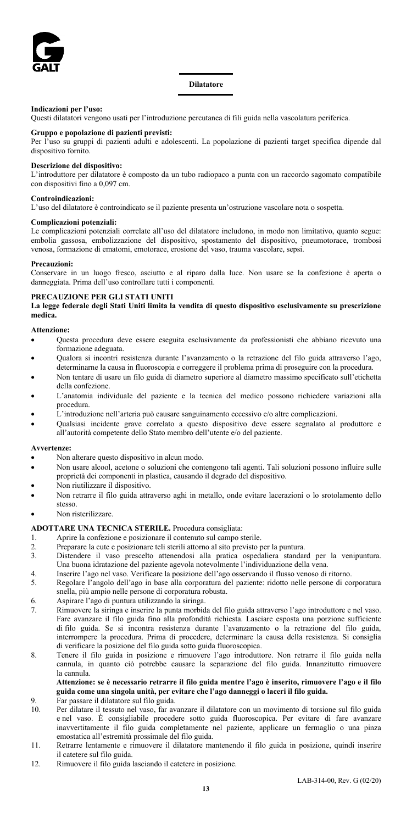

#### **Indicazioni per l'uso:**

Questi dilatatori vengono usati per l'introduzione percutanea di fili guida nella vascolatura periferica.

#### **Gruppo e popolazione di pazienti previsti:**

Per l'uso su gruppi di pazienti adulti e adolescenti. La popolazione di pazienti target specifica dipende dal dispositivo fornito.

## **Descrizione del dispositivo:**

L'introduttore per dilatatore è composto da un tubo radiopaco a punta con un raccordo sagomato compatibile con dispositivi fino a 0,097 cm.

#### **Controindicazioni:**

L'uso del dilatatore è controindicato se il paziente presenta un'ostruzione vascolare nota o sospetta.

#### **Complicazioni potenziali:**

Le complicazioni potenziali correlate all'uso del dilatatore includono, in modo non limitativo, quanto segue: embolia gassosa, embolizzazione del dispositivo, spostamento del dispositivo, pneumotorace, trombosi venosa, formazione di ematomi, emotorace, erosione del vaso, trauma vascolare, sepsi.

#### **Precauzioni:**

Conservare in un luogo fresco, asciutto e al riparo dalla luce. Non usare se la confezione è aperta o danneggiata. Prima dell'uso controllare tutti i componenti.

## **PRECAUZIONE PER GLI STATI UNITI**

**La legge federale degli Stati Uniti limita la vendita di questo dispositivo esclusivamente su prescrizione medica.**

#### **Attenzione:**

- Questa procedura deve essere eseguita esclusivamente da professionisti che abbiano ricevuto una formazione adeguata.
- Qualora si incontri resistenza durante l'avanzamento o la retrazione del filo guida attraverso l'ago, determinarne la causa in fluoroscopia e correggere il problema prima di proseguire con la procedura.
- Non tentare di usare un filo guida di diametro superiore al diametro massimo specificato sull'etichetta della confezione.
- L'anatomia individuale del paziente e la tecnica del medico possono richiedere variazioni alla procedura.
- L'introduzione nell'arteria può causare sanguinamento eccessivo e/o altre complicazioni.
- Qualsiasi incidente grave correlato a questo dispositivo deve essere segnalato al produttore e all'autorità competente dello Stato membro dell'utente e/o del paziente.

#### **Avvertenze:**

- Non alterare questo dispositivo in alcun modo.
- Non usare alcool, acetone o soluzioni che contengono tali agenti. Tali soluzioni possono influire sulle proprietà dei componenti in plastica, causando il degrado del dispositivo.
- Non riutilizzare il dispositivo.
- Non retrarre il filo guida attraverso aghi in metallo, onde evitare lacerazioni o lo srotolamento dello stesso.
- Non risterilizzare.

# **ADOTTARE UNA TECNICA STERILE.** Procedura consigliata:

- Aprire la confezione e posizionare il contenuto sul campo sterile.
- 2. Preparare la cute e posizionare teli sterili attorno al sito previsto per la puntura.
- Distendere il vaso prescelto attenendosi alla pratica ospedaliera standard per la venipuntura. Una buona idratazione del paziente agevola notevolmente l'individuazione della vena.
- 4. Inserire l'ago nel vaso. Verificare la posizione dell'ago osservando il flusso venoso di ritorno.
- 5. Regolare l'angolo dell'ago in base alla corporatura del paziente: ridotto nelle persone di corporatura snella, più ampio nelle persone di corporatura robusta.
- 6. Aspirare l'ago di puntura utilizzando la siringa.
- 7. Rimuovere la siringa e inserire la punta morbida del filo guida attraverso l'ago introduttore e nel vaso. Fare avanzare il filo guida fino alla profondità richiesta. Lasciare esposta una porzione sufficiente di filo guida. Se si incontra resistenza durante l'avanzamento o la retrazione del filo guida, interrompere la procedura. Prima di procedere, determinare la causa della resistenza. Si consiglia di verificare la posizione del filo guida sotto guida fluoroscopica.
- 8. Tenere il filo guida in posizione e rimuovere l'ago introduttore. Non retrarre il filo guida nella cannula, in quanto ciò potrebbe causare la separazione del filo guida. Innanzitutto rimuovere la cannula.

## **Attenzione: se è necessario retrarre il filo guida mentre l'ago è inserito, rimuovere l'ago e il filo guida come una singola unità, per evitare che l'ago danneggi o laceri il filo guida.**

- 9. Far passare il dilatatore sul filo guida.
- 10. Per dilatare il tessuto nel vaso, far avanzare il dilatatore con un movimento di torsione sul filo guida e nel vaso. È consigliabile procedere sotto guida fluoroscopica. Per evitare di fare avanzare inavvertitamente il filo guida completamente nel paziente, applicare un fermaglio o una pinza emostatica all'estremità prossimale del filo guida.
- 11. Retrarre lentamente e rimuovere il dilatatore mantenendo il filo guida in posizione, quindi inserire il catetere sul filo guida.
- 12. Rimuovere il filo guida lasciando il catetere in posizione.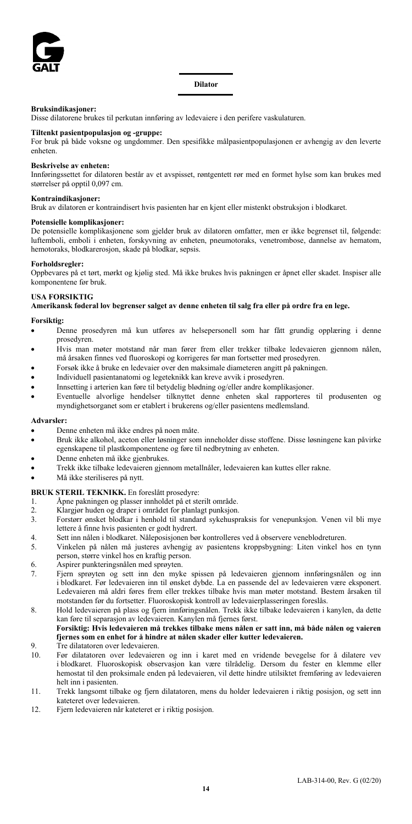

**Dilator**

#### **Bruksindikasjoner:**

Disse dilatorene brukes til perkutan innføring av ledevaiere i den perifere vaskulaturen.

## **Tiltenkt pasientpopulasjon og -gruppe:**

For bruk på både voksne og ungdommer. Den spesifikke målpasientpopulasjonen er avhengig av den leverte enheten.

#### **Beskrivelse av enheten:**

Innføringssettet for dilatoren består av et avspisset, røntgentett rør med en formet hylse som kan brukes med størrelser på opptil 0,097 cm.

#### **Kontraindikasjoner:**

Bruk av dilatoren er kontraindisert hvis pasienten har en kjent eller mistenkt obstruksjon i blodkaret.

#### **Potensielle komplikasjoner:**

De potensielle komplikasjonene som gjelder bruk av dilatoren omfatter, men er ikke begrenset til, følgende: luftemboli, emboli i enheten, forskyvning av enheten, pneumotoraks, venetrombose, dannelse av hematom, hemotoraks, blodkarerosjon, skade på blodkar, sepsis.

#### **Forholdsregler:**

Oppbevares på et tørt, mørkt og kjølig sted. Må ikke brukes hvis pakningen er åpnet eller skadet. Inspiser alle komponentene før bruk.

#### **USA FORSIKTIG**

#### **Amerikansk føderal lov begrenser salget av denne enheten til salg fra eller på ordre fra en lege.**

#### **Forsiktig:**

- Denne prosedyren må kun utføres av helsepersonell som har fått grundig opplæring i denne prosedyren.
- Hvis man møter motstand når man fører frem eller trekker tilbake ledevaieren gjennom nålen, må årsaken finnes ved fluoroskopi og korrigeres før man fortsetter med prosedyren.
- Forsøk ikke å bruke en ledevaier over den maksimale diameteren angitt på pakningen.
- Individuell pasientanatomi og legeteknikk kan kreve avvik i prosedyren.
- Innsetting i arterien kan føre til betydelig blødning og/eller andre komplikasjoner.
- Eventuelle alvorlige hendelser tilknyttet denne enheten skal rapporteres til produsenten og myndighetsorganet som er etablert i brukerens og/eller pasientens medlemsland.

#### **Advarsler:**

- Denne enheten må ikke endres på noen måte.
- Bruk ikke alkohol, aceton eller løsninger som inneholder disse stoffene. Disse løsningene kan påvirke egenskapene til plastkomponentene og føre til nedbrytning av enheten.
- Denne enheten må ikke gjenbrukes.
- Trekk ikke tilbake ledevaieren gjennom metallnåler, ledevaieren kan kuttes eller rakne.
- Må ikke steriliseres på nytt.

#### **BRUK STERIL TEKNIKK.** En foreslått prosedyre:

- 1. Åpne pakningen og plasser innholdet på et sterilt område.
- 2. Klargjør huden og draper i området for planlagt punksjon.<br>3. Forstørr ønsket blodkar i henhold til standard sykehuspi
- Forstørr ønsket blodkar i henhold til standard sykehuspraksis for venepunksjon. Venen vil bli mye lettere å finne hvis pasienten er godt hydrert.
- 4. Sett inn nålen i blodkaret. Nåleposisjonen bør kontrolleres ved å observere veneblodreturen.
- 5. Vinkelen på nålen må justeres avhengig av pasientens kroppsbygning: Liten vinkel hos en tynn person, større vinkel hos en kraftig person.
- 6. Aspirer punkteringsnålen med sprøyten.
- 7. Fjern sprøyten og sett inn den myke spissen på ledevaieren gjennom innføringsnålen og inn i blodkaret. Før ledevaieren inn til ønsket dybde. La en passende del av ledevaieren være eksponert. Ledevaieren må aldri føres frem eller trekkes tilbake hvis man møter motstand. Bestem årsaken til motstanden før du fortsetter. Fluoroskopisk kontroll av ledevaierplasseringen foreslås.
- 8. Hold ledevaieren på plass og fjern innføringsnålen. Trekk ikke tilbake ledevaieren i kanylen, da dette kan føre til separasjon av ledevaieren. Kanylen må fjernes først.

## **Forsiktig: Hvis ledevaieren må trekkes tilbake mens nålen er satt inn, må både nålen og vaieren fjernes som en enhet for å hindre at nålen skader eller kutter ledevaieren.**

- 9. Tre dilatatoren over ledevaieren.
- 10. Før dilatatoren over ledevaieren og inn i karet med en vridende bevegelse for å dilatere vev i blodkaret. Fluoroskopisk observasjon kan være tilrådelig. Dersom du fester en klemme eller hemostat til den proksimale enden på ledevaieren, vil dette hindre utilsiktet fremføring av ledevaieren helt inn i pasienten.
- 11. Trekk langsomt tilbake og fjern dilatatoren, mens du holder ledevaieren i riktig posisjon, og sett inn kateteret over ledevaieren.
- 12. Fjern ledevaieren når kateteret er i riktig posisjon.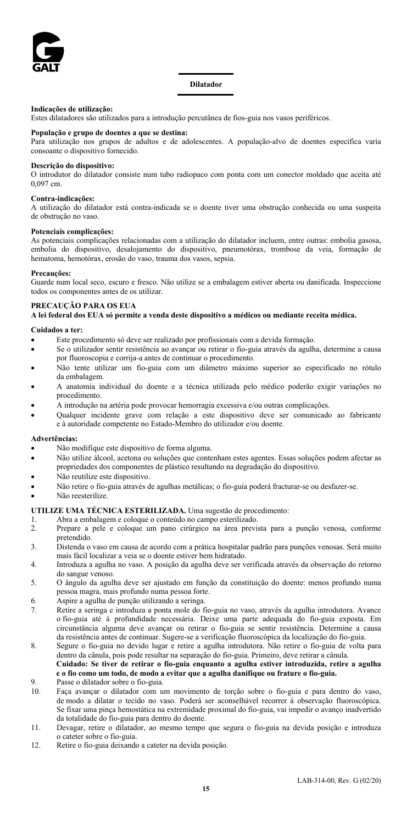

#### **Dilatador**

#### **Indicações de utilização:**

Estes dilatadores são utilizados para a introdução percutânea de fios-guia nos vasos periféricos.

**População e grupo de doentes a que se destina:** Para utilização nos grupos de adultos e de adolescentes. A população-alvo de doentes específica varia consoante o dispositivo fornecido.

## **Descrição do dispositivo:**

O introdutor do dilatador consiste num tubo radiopaco com ponta com um conector moldado que aceita até 0,097 cm.

#### **Contra-indicações:**

A utilização do dilatador está contra-indicada se o doente tiver uma obstrução conhecida ou uma suspeita de obstrução no vaso.

### **Potenciais complicações:**

As potenciais complicações relacionadas com a utilização do dilatador incluem, entre outras: embolia gasosa, embolia do dispositivo, desalojamento do dispositivo, pneumotórax, trombose da veia, formação de hematoma, hemotórax, erosão do vaso, trauma dos vasos, sepsia.

#### **Precauções:**

Guarde num local seco, escuro e fresco. Não utilize se a embalagem estiver aberta ou danificada. Inspeccione todos os componentes antes de os utilizar.

#### **PRECAUÇÃO PARA OS EUA**

**A lei federal dos EUA só permite a venda deste dispositivo a médicos ou mediante receita médica.**

#### **Cuidados a ter:**

- Este procedimento só deve ser realizado por profissionais com a devida formação.
- Se o utilizador sentir resistência ao avançar ou retirar o fio-guia através da agulha, determine a causa por fluoroscopia e corrija-a antes de continuar o procedimento.
- Não tente utilizar um fio-guia com um diâmetro máximo superior ao especificado no rótulo da embalagem.
- A anatomia individual do doente e a técnica utilizada pelo médico poderão exigir variações no procedimento.
- A introdução na artéria pode provocar hemorragia excessiva e/ou outras complicações.
- Qualquer incidente grave com relação a este dispositivo deve ser comunicado ao fabricante e à autoridade competente no Estado-Membro do utilizador e/ou doente.

#### **Advertências:**

- Não modifique este dispositivo de forma alguma.
- Não utilize álcool, acetona ou soluções que contenham estes agentes. Essas soluções podem afectar as propriedades dos componentes de plástico resultando na degradação do dispositivo.
- Não reutilize este dispositivo.
- Não retire o fio-guia através de agulhas metálicas; o fio-guia poderá fracturar-se ou desfazer-se.
- Não reesterilize.

#### **UTILIZE UMA TÉCNICA ESTERILIZADA.** Uma sugestão de procedimento:

- 1. Abra a embalagem e coloque o conteúdo no campo esterilizado.<br>2 Prepare a pele e coloque um pano cirúrgico na área previ
- Prepare a pele e coloque um pano cirúrgico na área prevista para a punção venosa, conforme pretendido.
- 3. Distenda o vaso em causa de acordo com a prática hospitalar padrão para punções venosas. Será muito mais fácil localizar a veia se o doente estiver bem hidratado.
- 4. Introduza a agulha no vaso. A posição da agulha deve ser verificada através da observação do retorno do sangue venoso.
- 5. O ângulo da agulha deve ser ajustado em função da constituição do doente: menos profundo numa pessoa magra, mais profundo numa pessoa forte.
- 6. Aspire a agulha de punção utilizando a seringa.
- Retire a seringa e introduza a ponta mole do fio-guia no vaso, através da agulha introdutora. Avance o fio-guia até à profundidade necessária. Deixe uma parte adequada do fio-guia exposta. Em circunstância alguma deve avançar ou retirar o fio-guia se sentir resistência. Determine a causa da resistência antes de continuar. Sugere-se a verificação fluoroscópica da localização do fio-guia.
- 8. Segure o fio-guia no devido lugar e retire a agulha introdutora. Não retire o fio-guia de volta para dentro da cânula, pois pode resultar na separação do fio-guia. Primeiro, deve retirar a cânula. **Cuidado: Se tiver de retirar o fio-guia enquanto a agulha estiver introduzida, retire a agulha**

## **e o fio como um todo, de modo a evitar que a agulha danifique ou frature o fio-guia.** 9. Passe o dilatador sobre o fio-guia.

- 10. Faça avançar o dilatador com um movimento de torção sobre o fio-guia e para dentro do vaso, de modo a dilatar o tecido no vaso. Poderá ser aconselhável recorrer à observação fluoroscópica. Se fixar uma pinça hemostática na extremidade proximal do fio-guia, vai impedir o avanço inadvertido da totalidade do fio-guia para dentro do doente.
- 11. Devagar, retire o dilatador, ao mesmo tempo que segura o fio-guia na devida posição e introduza o cateter sobre o fio-guia.
- 12. Retire o fio-guia deixando a cateter na devida posição.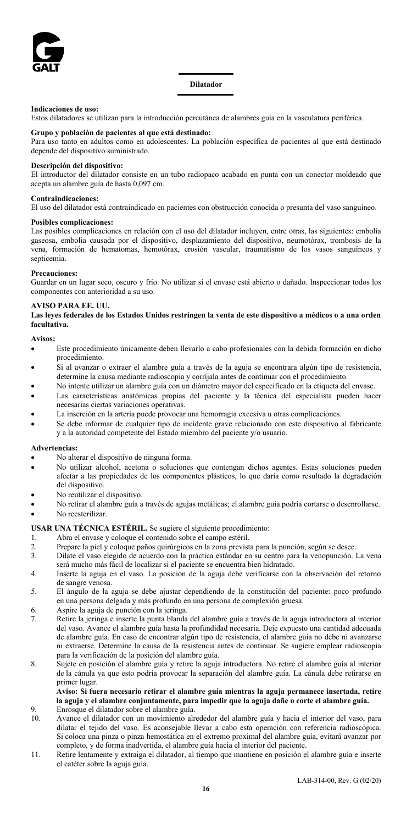

**Dilatador**

#### **Indicaciones de uso:**

Estos dilatadores se utilizan para la introducción percutánea de alambres guía en la vasculatura periférica.

#### **Grupo y población de pacientes al que está destinado:**

Para uso tanto en adultos como en adolescentes. La población específica de pacientes al que está destinado depende del dispositivo suministrado.

## **Descripción del dispositivo:**

El introductor del dilatador consiste en un tubo radiopaco acabado en punta con un conector moldeado que acepta un alambre guía de hasta 0,097 cm.

#### **Contraindicaciones:**

El uso del dilatador está contraindicado en pacientes con obstrucción conocida o presunta del vaso sanguíneo.

#### **Posibles complicaciones:**

Las posibles complicaciones en relación con el uso del dilatador incluyen, entre otras, las siguientes: embolia gaseosa, embolia causada por el dispositivo, desplazamiento del dispositivo, neumotórax, trombosis de la vena, formación de hematomas, hemotórax, erosión vascular, traumatismo de los vasos sanguíneos y septicemia.

#### **Precauciones:**

Guardar en un lugar seco, oscuro y frío. No utilizar si el envase está abierto o dañado. Inspeccionar todos los componentes con anterioridad a su uso.

## **AVISO PARA EE. UU.**

**Las leyes federales de los Estados Unidos restringen la venta de este dispositivo a médicos o a una orden facultativa.**

#### **Avisos:**

- Este procedimiento únicamente deben llevarlo a cabo profesionales con la debida formación en dicho procedimiento.
- Si al avanzar o extraer el alambre guía a través de la aguja se encontrara algún tipo de resistencia, determine la causa mediante radioscopia y corríjala antes de continuar con el procedimiento.
- No intente utilizar un alambre guía con un diámetro mayor del especificado en la etiqueta del envase.
- Las características anatómicas propias del paciente y la técnica del especialista pueden hacer necesarias ciertas variaciones operativas.
- La inserción en la arteria puede provocar una hemorragia excesiva u otras complicaciones.
- Se debe informar de cualquier tipo de incidente grave relacionado con este dispositivo al fabricante y a la autoridad competente del Estado miembro del paciente y/o usuario.

#### **Advertencias:**

- No alterar el dispositivo de ninguna forma.
- No utilizar alcohol, acetona o soluciones que contengan dichos agentes. Estas soluciones pueden afectar a las propiedades de los componentes plásticos, lo que daría como resultado la degradación del dispositivo.
- No reutilizar el dispositivo.
- No retirar el alambre guía a través de agujas metálicas; el alambre guía podría cortarse o desenrollarse.

• No reesterilizar.

## **USAR UNA TÉCNICA ESTÉRIL.** Se sugiere el siguiente procedimiento:

- 1. Abra el envase y coloque el contenido sobre el campo estéril.
- 2. Prepare la piel y coloque paños quirúrgicos en la zona prevista para la punción, según se desee.<br>Dilate el vaso elegido de acuerdo con la práctica estándar en su centro para la venopunción.
- Dilate el vaso elegido de acuerdo con la práctica estándar en su centro para la venopunción. La vena será mucho más fácil de localizar si el paciente se encuentra bien hidratado.
- 4. Inserte la aguja en el vaso. La posición de la aguja debe verificarse con la observación del retorno de sangre venosa.
- 5. El ángulo de la aguja se debe ajustar dependiendo de la constitución del paciente: poco profundo en una persona delgada y más profundo en una persona de complexión gruesa.
- 6. Aspire la aguja de punción con la jeringa.
- Retire la jeringa e inserte la punta blanda del alambre guía a través de la aguja introductora al interior del vaso. Avance el alambre guía hasta la profundidad necesaria. Deje expuesto una cantidad adecuada de alambre guía. En caso de encontrar algún tipo de resistencia, el alambre guía no debe ni avanzarse ni extraerse. Determine la causa de la resistencia antes de continuar. Se sugiere emplear radioscopia para la verificación de la posición del alambre guía.
- 8. Sujete en posición el alambre guía y retire la aguja introductora. No retire el alambre guía al interior de la cánula ya que esto podría provocar la separación del alambre guía. La cánula debe retirarse en primer lugar.

## **Aviso: Si fuera necesario retirar el alambre guía mientras la aguja permanece insertada, retire la aguja y el alambre conjuntamente, para impedir que la aguja dañe o corte el alambre guía.**

- 9. Enrosque el dilatador sobre el alambre guía. 10. Avance el dilatador con un movimiento alrededor del alambre guía y hacia el interior del vaso, para dilatar el tejido del vaso. Es aconsejable llevar a cabo esta operación con referencia radioscópica. Si coloca una pinza o pinza hemostática en el extremo proximal del alambre guía, evitará avanzar por completo, y de forma inadvertida, el alambre guía hacia el interior del paciente.
- 11. Retire lentamente y extraiga el dilatador, al tiempo que mantiene en posición el alambre guía e inserte el catéter sobre la aguja guía.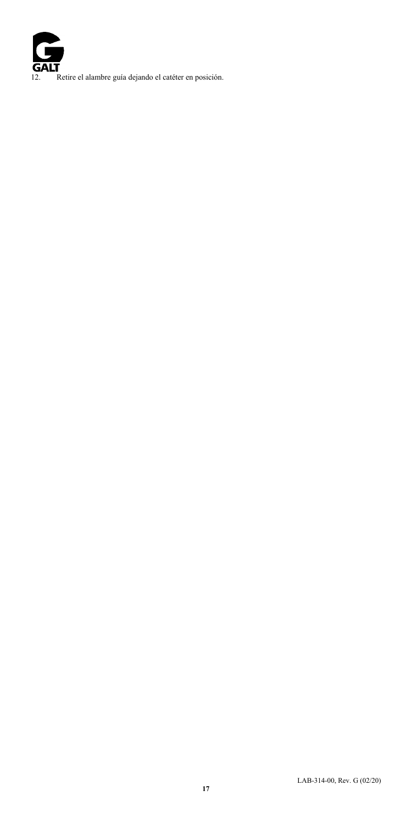**GALT** 12. Retire el alambre guía dejando el catéter en posición.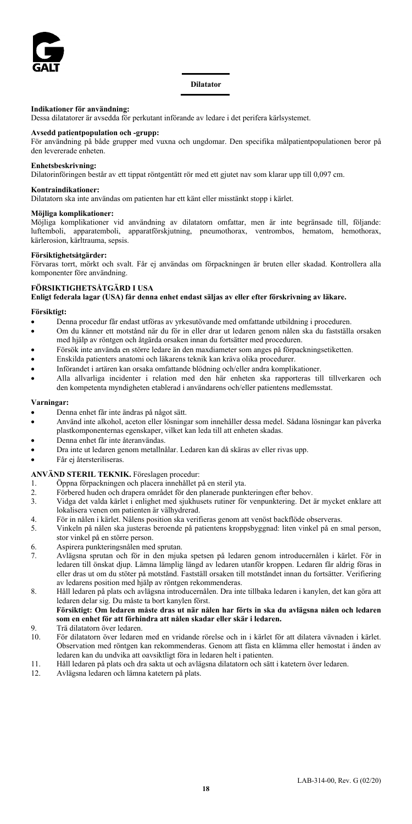

#### **Indikationer för användning:**

Dessa dilatatorer är avsedda för perkutant införande av ledare i det perifera kärlsystemet.

#### **Avsedd patientpopulation och -grupp:**

För användning på både grupper med vuxna och ungdomar. Den specifika målpatientpopulationen beror på den levererade enheten.

#### **Enhetsbeskrivning:**

Dilatorinföringen består av ett tippat röntgentätt rör med ett gjutet nav som klarar upp till 0,097 cm.

## **Kontraindikationer:**

Dilatatorn ska inte användas om patienten har ett känt eller misstänkt stopp i kärlet.

## **Möjliga komplikationer:**

Möjliga komplikationer vid användning av dilatatorn omfattar, men är inte begränsade till, följande: luftemboli, apparatemboli, apparatförskjutning, pneumothorax, ventrombos, hematom, hemothorax, kärlerosion, kärltrauma, sepsis.

#### **Försiktighetsåtgärder:**

Förvaras torrt, mörkt och svalt. Får ej användas om förpackningen är bruten eller skadad. Kontrollera alla komponenter före användning.

#### **FÖRSIKTIGHETSÅTGÄRD I USA**

**Enligt federala lagar (USA) får denna enhet endast säljas av eller efter förskrivning av läkare.**

## **Försiktigt:**

- Denna procedur får endast utföras av yrkesutövande med omfattande utbildning i proceduren.
- Om du känner ett motstånd när du för in eller drar ut ledaren genom nålen ska du fastställa orsaken med hjälp av röntgen och åtgärda orsaken innan du fortsätter med proceduren.
- Försök inte använda en större ledare än den maxdiameter som anges på förpackningsetiketten.
- Enskilda patienters anatomi och läkarens teknik kan kräva olika procedurer.
- Införandet i artären kan orsaka omfattande blödning och/eller andra komplikationer.
- Alla allvarliga incidenter i relation med den här enheten ska rapporteras till tillverkaren och den kompetenta myndigheten etablerad i användarens och/eller patientens medlemsstat.

## **Varningar:**

- Denna enhet får inte ändras på något sätt.
- Använd inte alkohol, aceton eller lösningar som innehåller dessa medel. Sådana lösningar kan påverka plastkomponenternas egenskaper, vilket kan leda till att enheten skadas.
- Denna enhet får inte återanvändas.
- Dra inte ut ledaren genom metallnålar. Ledaren kan då skäras av eller rivas upp.
- Får ej återsteriliseras.

## **ANVÄND STERIL TEKNIK.** Föreslagen procedur:

- 1. Öppna förpackningen och placera innehållet på en steril yta.
- Förbered huden och drapera området för den planerade punkteringen efter behov.
- 3. Vidga det valda kärlet i enlighet med sjukhusets rutiner för venpunktering. Det är mycket enklare att lokalisera venen om patienten är välhydrerad.
- 4. För in nålen i kärlet. Nålens position ska verifieras genom att venöst backflöde observeras.
- 5. Vinkeln på nålen ska justeras beroende på patientens kroppsbyggnad: liten vinkel på en smal person, stor vinkel på en större person.
- 6. Aspirera punkteringsnålen med sprutan.
- 7. Avlägsna sprutan och för in den mjuka spetsen på ledaren genom introducernålen i kärlet. För in ledaren till önskat djup. Lämna lämplig längd av ledaren utanför kroppen. Ledaren får aldrig föras in eller dras ut om du stöter på motstånd. Fastställ orsaken till motståndet innan du fortsätter. Verifiering av ledarens position med hjälp av röntgen rekommenderas.
- 8. Håll ledaren på plats och avlägsna introducernålen. Dra inte tillbaka ledaren i kanylen, det kan göra att ledaren delar sig. Du måste ta bort kanylen först.

## **Försiktigt: Om ledaren måste dras ut när nålen har förts in ska du avlägsna nålen och ledaren som en enhet för att förhindra att nålen skadar eller skär i ledaren.**

## 9. Trä dilatatorn över ledaren.<br>10 För dilatatorn över ledaren

- 10. För dilatatorn över ledaren med en vridande rörelse och in i kärlet för att dilatera vävnaden i kärlet. Observation med röntgen kan rekommenderas. Genom att fästa en klämma eller hemostat i änden av ledaren kan du undvika att oavsiktligt föra in ledaren helt i patienten.
- 11. Håll ledaren på plats och dra sakta ut och avlägsna dilatatorn och sätt i katetern över ledaren.
- 12. Avlägsna ledaren och lämna katetern på plats.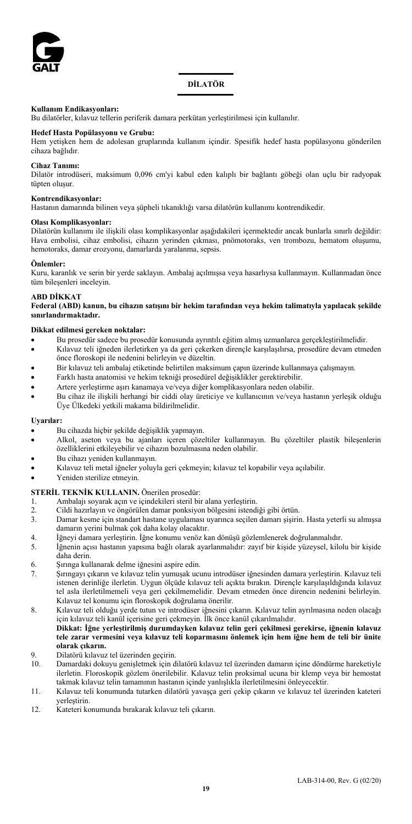

## **DİLATÖR**

#### **Kullanım Endikasyonları:**

Bu dilatörler, kılavuz tellerin periferik damara perkütan yerleştirilmesi için kullanılır.

#### **Hedef Hasta Popülasyonu ve Grubu:**

Hem yetişken hem de adolesan gruplarında kullanım içindir. Spesifik hedef hasta popülasyonu gönderilen cihaza bağlıdır.

#### **Cihaz Tanımı:**

Dilatör introdüseri, maksimum 0,096 cm'yi kabul eden kalıplı bir bağlantı göbeği olan uçlu bir radyopak tüpten oluşur.

## **Kontrendikasyonlar:**

Hastanın damarında bilinen veya şüpheli tıkanıklığı varsa dilatörün kullanımı kontrendikedir.

#### **Olası Komplikasyonlar:**

Dilatörün kullanımı ile ilişkili olası komplikasyonlar aşağıdakileri içermektedir ancak bunlarla sınırlı değildir: Hava embolisi, cihaz embolisi, cihazın yerinden çıkması, pnömotoraks, ven trombozu, hematom oluşumu, hemotoraks, damar erozyonu, damarlarda yaralanma, sepsis.

#### **Önlemler:**

Kuru, karanlık ve serin bir yerde saklayın. Ambalaj açılmışsa veya hasarlıysa kullanmayın. Kullanmadan önce tüm bileşenleri inceleyin.

#### **ABD DİKKAT**

**Federal (ABD) kanun, bu cihazın satışını bir hekim tarafından veya hekim talimatıyla yapılacak şekilde sınırlandırmaktadır.** 

#### **Dikkat edilmesi gereken noktalar:**

- Bu prosedür sadece bu prosedür konusunda ayrıntılı eğitim almış uzmanlarca gerçekleştirilmelidir.
- Kılavuz teli iğneden ilerletirken ya da geri çekerken dirençle karşılaşılırsa, prosedüre devam etmeden önce floroskopi ile nedenini belirleyin ve düzeltin.
- Bir kılavuz teli ambalaj etiketinde belirtilen maksimum çapın üzerinde kullanmaya çalışmayın.
- Farklı hasta anatomisi ve hekim tekniği prosedürel değişiklikler gerektirebilir.
- Artere yerleştirme aşırı kanamaya ve/veya diğer komplikasyonlara neden olabilir.
- Bu cihaz ile ilişkili herhangi bir ciddi olay üreticiye ve kullanıcının ve/veya hastanın yerleşik olduğu Üye Ülkedeki yetkili makama bildirilmelidir.

#### **Uyarılar:**

- Bu cihazda hiçbir şekilde değişiklik yapmayın.
- Alkol, aseton veya bu ajanları içeren çözeltiler kullanmayın. Bu çözeltiler plastik bileşenlerin özelliklerini etkileyebilir ve cihazın bozulmasına neden olabilir.
- Bu cihazı yeniden kullanmayın.
- Kılavuz teli metal iğneler yoluyla geri çekmeyin; kılavuz tel kopabilir veya açılabilir.
- Yeniden sterilize etmeyin.

#### **STERİL TEKNİK KULLANIN.** Önerilen prosedür:

- 1. Ambalajı soyarak açın ve içindekileri steril bir alana yerleştirin.
- 2. Cildi hazırlayın ve öngörülen damar ponksiyon bölgesini istendiği gibi örtün.
- 3. Damar kesme için standart hastane uygulaması uyarınca seçilen damarı şişirin. Hasta yeterli su almışsa damarın yerini bulmak çok daha kolay olacaktır.
- 4. İğneyi damara yerleştirin. İğne konumu venöz kan dönüşü gözlemlenerek doğrulanmalıdır.
- 5. İğnenin açısı hastanın yapısına bağlı olarak ayarlanmalıdır: zayıf bir kişide yüzeysel, kilolu bir kişide daha derin.
- 6. Şırınga kullanarak delme iğnesini aspire edin.
- 7. Şırıngayı çıkarın ve kılavuz telin yumuşak ucunu introdüser iğnesinden damara yerleştirin. Kılavuz teli istenen derinliğe ilerletin. Uygun ölçüde kılavuz teli açıkta bırakın. Dirençle karşılaşıldığında kılavuz tel asla ilerletilmemeli veya geri çekilmemelidir. Devam etmeden önce direncin nedenini belirleyin. Kılavuz tel konumu için floroskopik doğrulama önerilir.
- 8. Kılavuz teli olduğu yerde tutun ve introdüser iğnesini çıkarın. Kılavuz telin ayrılmasına neden olacağı için kılavuz teli kanül içerisine geri çekmeyin. İlk önce kanül çıkarılmalıdır.

#### **Dikkat: İğne yerleştirilmiş durumdayken kılavuz telin geri çekilmesi gerekirse, iğnenin kılavuz tele zarar vermesini veya kılavuz teli koparmasını önlemek için hem iğne hem de teli bir ünite olarak çıkarın.**

- 9. Dilatörü kılavuz tel üzerinden geçirin.
- 10. Damardaki dokuyu genişletmek için dilatörü kılavuz tel üzerinden damarın içine döndürme hareketiyle ilerletin. Floroskopik gözlem önerilebilir. Kılavuz telin proksimal ucuna bir klemp veya bir hemostat takmak kılavuz telin tamamının hastanın içinde yanlışlıkla ilerletilmesini önleyecektir.
- 11. Kılavuz teli konumunda tutarken dilatörü yavaşça geri çekip çıkarın ve kılavuz tel üzerinden kateteri yerleştirin.
- 12. Kateteri konumunda bırakarak kılavuz teli çıkarın.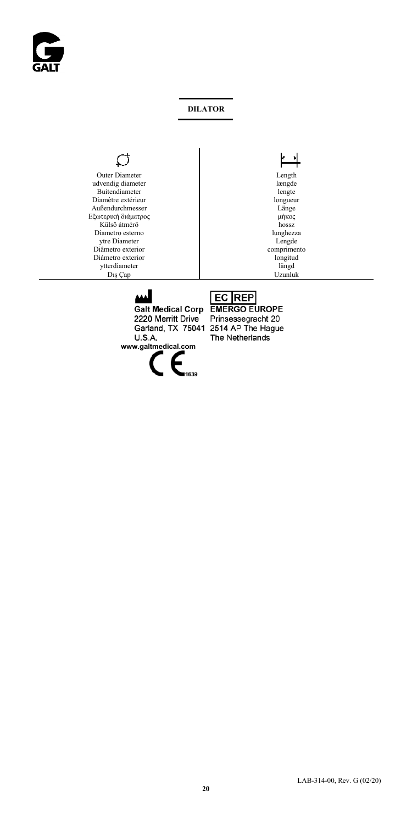

## **DILATOR**

#### $\mathcal{L}$ ٦

Outer Diameter Length Length Length Length Length Length Length Length Length Length Length Length Length Length Length Length Length Length Length Length Length Length Length Length Length Length Length Length Length Leng udvendig diameter længde Buitendiameter lengte lengte lengte lengte lengte lengte lengte lengte lengte lengte lengte lengte lengte lengte lengte lengte lengte lengte lengte lengte lengte lengte lengte lengte lengte lengte lengte lengte lengte leng Diamètre extérieur Außendurchmesser Länge Länge Länge Länge Länge Länge Länge Länge Länge Länge Länge Länge Länge Länge Länge Län Εξωτερική διάμετρος μήκος μήκος μήκος μήκος μήκος μήκος μήκος μήκος μήκος μήκος μήκος μήκος με το μεταφορείο μ Külső átmérő **hossz**<br>
hossz<br>
lunghezza Diametro esterno lunghezza ytre Diameter Lengde Lengde Lengde Comprimento Diâmetro exterior comprimento Diámetro exterior longitud ytterdiameter<br>Dış Çap

# $\overline{\phantom{a}}$ Uzunluk

Galt Medical Corp EMERGO EUROPE 2220 Merritt Drive **U.S.A. www.galtmedical.com**

Prinsessegracht 20 Garland, TX 75041 2514 AP The Hague The Netherlands